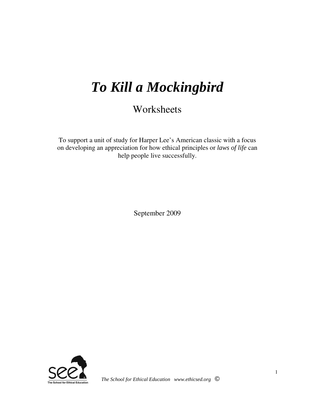# *To Kill a Mockingbird*

**Worksheets** 

To support a unit of study for Harper Lee's American classic with a focus on developing an appreciation for how ethical principles or *laws of life* can help people live successfully.

September 2009

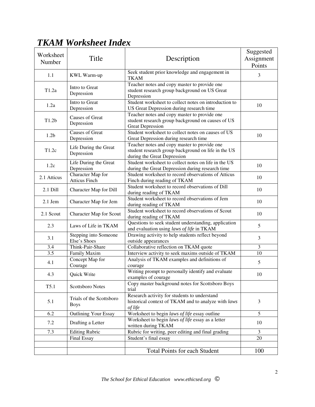# *TKAM Worksheet Index*

|                   |                                |                                                                              | Suggested      |  |
|-------------------|--------------------------------|------------------------------------------------------------------------------|----------------|--|
| Worksheet         | Title                          | Description                                                                  | Assignment     |  |
| Number            |                                |                                                                              | Points         |  |
|                   |                                | Seek student prior knowledge and engagement in                               |                |  |
| 1.1               | KWL Warm-up                    | <b>TKAM</b>                                                                  | 3              |  |
|                   | Intro to Great                 | Teacher notes and copy master to provide one                                 |                |  |
| T1.2a             | Depression                     | student research group background on US Great                                |                |  |
|                   |                                | Depression                                                                   |                |  |
| 1.2a              | Intro to Great                 | Student worksheet to collect notes on introduction to                        | 10             |  |
|                   | Depression                     | US Great Depression during research time                                     |                |  |
| T1.2 <sub>b</sub> | <b>Causes of Great</b>         | Teacher notes and copy master to provide one                                 |                |  |
|                   | Depression                     | student research group background on causes of US<br><b>Great Depression</b> |                |  |
|                   | <b>Causes of Great</b>         | Student worksheet to collect notes on causes of US                           |                |  |
| 1.2 <sub>b</sub>  | Depression                     | Great Depression during research time                                        | 10             |  |
|                   |                                | Teacher notes and copy master to provide one                                 |                |  |
| T1.2c             | Life During the Great          | student research group background on life in the US                          |                |  |
|                   | Depression                     | during the Great Depression                                                  |                |  |
| 1.2c              | Life During the Great          | Student worksheet to collect notes on life in the US                         | 10             |  |
|                   | Depression                     | during the Great Depression during research time                             |                |  |
| 2.1 Atticus       | Character Map for              | Student worksheet to record observations of Atticus                          | 10             |  |
|                   | <b>Atticus Finch</b>           | Finch during reading of TKAM                                                 |                |  |
| 2.1 Dill          | Character Map for Dill         | Student worksheet to record observations of Dill                             | 10             |  |
|                   |                                | during reading of TKAM                                                       |                |  |
| $2.1$ Jem         | Character Map for Jem          | Student worksheet to record observations of Jem                              | 10             |  |
|                   |                                | during reading of TKAM<br>Student worksheet to record observations of Scout  |                |  |
| 2.1 Scout         | <b>Character Map for Scout</b> | during reading of TKAM                                                       | 10             |  |
|                   |                                | Questions to seek student understanding, application                         |                |  |
| 2.3               | Laws of Life in TKAM           | and evaluation using laws of life in TKAM                                    | 5              |  |
|                   | Stepping into Someone          | Drawing activity to help students reflect beyond                             |                |  |
| 3.1               | Else's Shoes                   | outside appearances                                                          | 3              |  |
| 3.4               | Think-Pair-Share               | Collaborative reflection on TKAM quote                                       | $\overline{3}$ |  |
| 3.5               | Family Maxim                   | Interview activity to seek maxims outside of TKAM                            | 10             |  |
| 4.1               | Concept Map for                | Analysis of TKAM examples and definitions of                                 | 5              |  |
|                   | Courage                        | courage                                                                      |                |  |
| 4.3               | Quick Write                    | Writing prompt to personally identify and evaluate                           | 10             |  |
|                   |                                | examples of courage                                                          |                |  |
| T5.1              | <b>Scottsboro Notes</b>        | Copy master background notes for Scottsboro Boys<br>trial                    |                |  |
|                   |                                | Research activity for students to understand                                 |                |  |
| 5.1               | Trials of the Scottsboro       | historical context of TKAM and to analyze with laws                          | 3              |  |
|                   | <b>Boys</b>                    | of life                                                                      |                |  |
| 6.2               | <b>Outlining Your Essay</b>    | Worksheet to begin laws of life essay outline                                | 5              |  |
|                   |                                | Worksheet to begin laws of life essay as a letter                            |                |  |
| 7.2               | Drafting a Letter              | written during TKAM                                                          | 10             |  |
| 7.3               | <b>Editing Rubric</b>          | Rubric for writing, peer editing and final grading                           | 3              |  |
|                   | Final Essay                    | Student's final essay                                                        | 20             |  |
|                   |                                |                                                                              |                |  |
|                   |                                | <b>Total Points for each Student</b>                                         | 100            |  |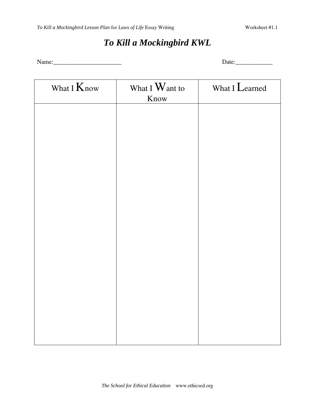# *To Kill a Mockingbird KWL*

Name:\_\_\_\_\_\_\_\_\_\_\_\_\_\_\_\_\_\_\_\_\_\_ Date:\_\_\_\_\_\_\_\_\_\_\_\_

| What I Know | What I Want to | What I Learned |
|-------------|----------------|----------------|
|             | Know           |                |
|             |                |                |
|             |                |                |
|             |                |                |
|             |                |                |
|             |                |                |
|             |                |                |
|             |                |                |
|             |                |                |
|             |                |                |
|             |                |                |
|             |                |                |
|             |                |                |
|             |                |                |
|             |                |                |
|             |                |                |
|             |                |                |
|             |                |                |
|             |                |                |
|             |                |                |
|             |                |                |
|             |                |                |
|             |                |                |
|             |                |                |
|             |                |                |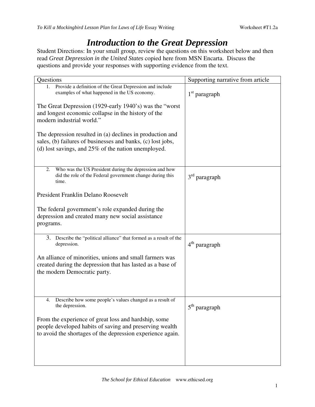## *Introduction to the Great Depression*

Student Directions: In your small group, review the questions on this worksheet below and then read *Great Depression in the United States* copied here from MSN Encarta. Discuss the questions and provide your responses with supporting evidence from the text.

| Questions                                                                                                                                                                          | Supporting narrative from article |
|------------------------------------------------------------------------------------------------------------------------------------------------------------------------------------|-----------------------------------|
| Provide a definition of the Great Depression and include<br>1.<br>examples of what happened in the US economy.                                                                     | $1st$ paragraph                   |
| The Great Depression (1929-early 1940's) was the "worst"<br>and longest economic collapse in the history of the<br>modern industrial world."                                       |                                   |
| The depression resulted in (a) declines in production and<br>sales, (b) failures of businesses and banks, (c) lost jobs,<br>(d) lost savings, and $25\%$ of the nation unemployed. |                                   |
| Who was the US President during the depression and how<br>2.<br>did the role of the Federal government change during this<br>time.                                                 | $3rd$ paragraph                   |
| President Franklin Delano Roosevelt                                                                                                                                                |                                   |
| The federal government's role expanded during the<br>depression and created many new social assistance<br>programs.                                                                |                                   |
| 3. Describe the "political alliance" that formed as a result of the<br>depression.                                                                                                 | $4th$ paragraph                   |
| An alliance of minorities, unions and small farmers was<br>created during the depression that has lasted as a base of<br>the modern Democratic party.                              |                                   |
| Describe how some people's values changed as a result of<br>4.<br>the depression.                                                                                                  | $5^{\rm th}$ paragraph            |
| From the experience of great loss and hardship, some<br>people developed habits of saving and preserving wealth<br>to avoid the shortages of the depression experience again.      |                                   |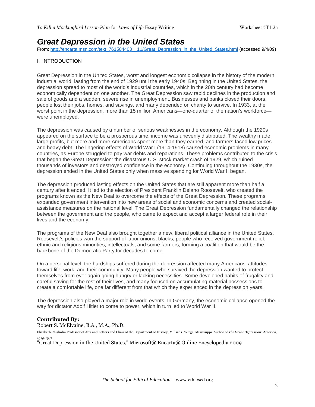## **Great Depression in the United States**

From: http://encarta.msn.com/text\_761584403\_\_11/Great\_Depression\_in\_the\_United\_States.html (accessed 9/4/09)

#### I. INTRODUCTION

Great Depression in the United States, worst and longest economic collapse in the history of the modern industrial world, lasting from the end of 1929 until the early 1940s. Beginning in the United States, the depression spread to most of the world's industrial countries, which in the 20th century had become economically dependent on one another. The Great Depression saw rapid declines in the production and sale of goods and a sudden, severe rise in unemployment. Businesses and banks closed their doors, people lost their jobs, homes, and savings, and many depended on charity to survive. In 1933, at the worst point in the depression, more than 15 million Americans—one-quarter of the nation's workforce were unemployed.

The depression was caused by a number of serious weaknesses in the economy. Although the 1920s appeared on the surface to be a prosperous time, income was unevenly distributed. The wealthy made large profits, but more and more Americans spent more than they earned, and farmers faced low prices and heavy debt. The lingering effects of World War I (1914-1918) caused economic problems in many countries, as Europe struggled to pay war debts and reparations. These problems contributed to the crisis that began the Great Depression: the disastrous U.S. stock market crash of 1929, which ruined thousands of investors and destroyed confidence in the economy. Continuing throughout the 1930s, the depression ended in the United States only when massive spending for World War II began.

The depression produced lasting effects on the United States that are still apparent more than half a century after it ended. It led to the election of President Franklin Delano Roosevelt, who created the programs known as the New Deal to overcome the effects of the Great Depression. These programs expanded government intervention into new areas of social and economic concerns and created socialassistance measures on the national level. The Great Depression fundamentally changed the relationship between the government and the people, who came to expect and accept a larger federal role in their lives and the economy.

The programs of the New Deal also brought together a new, liberal political alliance in the United States. Roosevelt's policies won the support of labor unions, blacks, people who received government relief, ethnic and religious minorities, intellectuals, and some farmers, forming a coalition that would be the backbone of the Democratic Party for decades to come.

On a personal level, the hardships suffered during the depression affected many Americans' attitudes toward life, work, and their community. Many people who survived the depression wanted to protect themselves from ever again going hungry or lacking necessities. Some developed habits of frugality and careful saving for the rest of their lives, and many focused on accumulating material possessions to create a comfortable life, one far different from that which they experienced in the depression years.

The depression also played a major role in world events. In Germany, the economic collapse opened the way for dictator Adolf Hitler to come to power, which in turn led to World War II.

#### **Contributed By:**

Robert S. McElvaine, B.A., M.A., Ph.D.

Elizabeth Chisholm Professor of Arts and Letters and Chair of the Department of History, Millsaps College, Mississippi. Author of The Great Depression: America, 1929-1941.

"Great Depression in the United States," Microsoft® Encarta® Online Encyclopedia 2009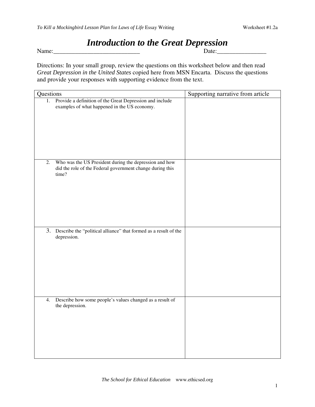# *Introduction to the Great Depression*

Name:

Directions: In your small group, review the questions on this worksheet below and then read *Great Depression in the United States* copied here from MSN Encarta. Discuss the questions and provide your responses with supporting evidence from the text.

| Questions                                                                                                                          | Supporting narrative from article |
|------------------------------------------------------------------------------------------------------------------------------------|-----------------------------------|
| 1. Provide a definition of the Great Depression and include<br>examples of what happened in the US economy.                        |                                   |
| Who was the US President during the depression and how<br>2.<br>did the role of the Federal government change during this<br>time? |                                   |
| 3. Describe the "political alliance" that formed as a result of the<br>depression.                                                 |                                   |
| Describe how some people's values changed as a result of<br>4.<br>the depression.                                                  |                                   |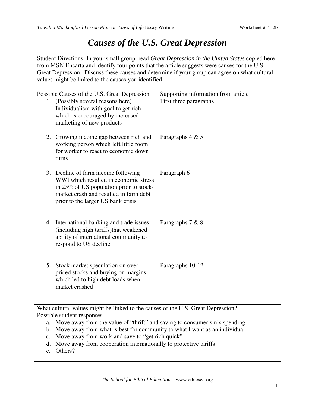## *Causes of the U.S. Great Depression*

Student Directions: In your small group, read *Great Depression in the United States* copied here from MSN Encarta and identify four points that the article suggests were causes for the U.S. Great Depression. Discuss these causes and determine if your group can agree on what cultural values might be linked to the causes you identified.

| Possible Causes of the U.S. Great Depression                                     | Supporting information from article                                               |  |  |  |  |  |  |  |
|----------------------------------------------------------------------------------|-----------------------------------------------------------------------------------|--|--|--|--|--|--|--|
| 1. (Possibly several reasons here)<br>Individualism with goal to get rich        | First three paragraphs                                                            |  |  |  |  |  |  |  |
| which is encouraged by increased                                                 |                                                                                   |  |  |  |  |  |  |  |
| marketing of new products                                                        |                                                                                   |  |  |  |  |  |  |  |
|                                                                                  |                                                                                   |  |  |  |  |  |  |  |
| 2. Growing income gap between rich and<br>working person which left little room  | Paragraphs 4 & 5                                                                  |  |  |  |  |  |  |  |
| for worker to react to economic down                                             |                                                                                   |  |  |  |  |  |  |  |
| turns                                                                            |                                                                                   |  |  |  |  |  |  |  |
|                                                                                  |                                                                                   |  |  |  |  |  |  |  |
| 3. Decline of farm income following                                              | Paragraph 6                                                                       |  |  |  |  |  |  |  |
| WWI which resulted in economic stress<br>in 25% of US population prior to stock- |                                                                                   |  |  |  |  |  |  |  |
| market crash and resulted in farm debt                                           |                                                                                   |  |  |  |  |  |  |  |
| prior to the larger US bank crisis                                               |                                                                                   |  |  |  |  |  |  |  |
|                                                                                  |                                                                                   |  |  |  |  |  |  |  |
|                                                                                  |                                                                                   |  |  |  |  |  |  |  |
| 4. International banking and trade issues                                        | Paragraphs 7 & 8                                                                  |  |  |  |  |  |  |  |
| (including high tariffs)that weakened<br>ability of international community to   |                                                                                   |  |  |  |  |  |  |  |
| respond to US decline                                                            |                                                                                   |  |  |  |  |  |  |  |
|                                                                                  |                                                                                   |  |  |  |  |  |  |  |
|                                                                                  |                                                                                   |  |  |  |  |  |  |  |
| 5. Stock market speculation on over                                              | Paragraphs 10-12                                                                  |  |  |  |  |  |  |  |
| priced stocks and buying on margins                                              |                                                                                   |  |  |  |  |  |  |  |
| which led to high debt loads when                                                |                                                                                   |  |  |  |  |  |  |  |
| market crashed                                                                   |                                                                                   |  |  |  |  |  |  |  |
|                                                                                  |                                                                                   |  |  |  |  |  |  |  |
| What cultural values might be linked to the causes of the U.S. Great Depression? |                                                                                   |  |  |  |  |  |  |  |
| Possible student responses                                                       |                                                                                   |  |  |  |  |  |  |  |
| a.                                                                               | Move away from the value of "thrift" and saving to consumerism's spending         |  |  |  |  |  |  |  |
|                                                                                  | b. Move away from what is best for community to what I want as an individual      |  |  |  |  |  |  |  |
|                                                                                  | c. Move away from work and save to "get rich quick"                               |  |  |  |  |  |  |  |
|                                                                                  | d. Move away from cooperation internationally to protective tariffs<br>e. Others? |  |  |  |  |  |  |  |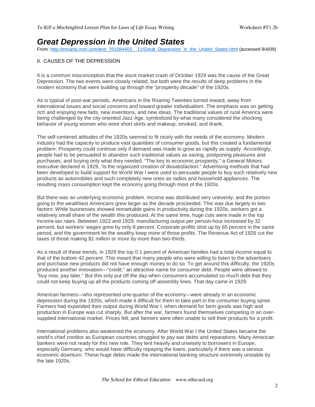### **Great Depression in the United States**

From: http://encarta.msn.com/text\_761584403\_\_11/Great\_Depression\_in\_the\_United\_States.html (accessed 9/4/09)

#### II. CAUSES OF THE DEPRESSION

It is a common misconception that the stock market crash of October 1929 was the cause of the Great Depression. The two events were closely related, but both were the results of deep problems in the modern economy that were building up through the "prosperity decade" of the 1920s.

As is typical of post-war periods, Americans in the Roaring Twenties turned inward, away from international issues and social concerns and toward greater individualism. The emphasis was on getting rich and enjoying new fads, new inventions, and new ideas. The traditional values of rural America were being challenged by the city-oriented Jazz Age, symbolized by what many considered the shocking behavior of young women who wore short skirts and makeup, smoked, and drank.

The self-centered attitudes of the 1920s seemed to fit nicely with the needs of the economy. Modern industry had the capacity to produce vast quantities of consumer goods, but this created a fundamental problem: Prosperity could continue only if demand was made to grow as rapidly as supply. Accordingly, people had to be persuaded to abandon such traditional values as saving, postponing pleasures and purchases, and buying only what they needed. "The key to economic prosperity," a General Motors executive declared in 1929, "is the organized creation of dissatisfaction." Advertising methods that had been developed to build support for World War I were used to persuade people to buy such relatively new products as automobiles and such completely new ones as radios and household appliances. The resulting mass consumption kept the economy going through most of the 1920s.

But there was an underlying economic problem. Income was distributed very unevenly, and the portion going to the wealthiest Americans grew larger as the decade proceeded. This was due largely to two factors: While businesses showed remarkable gains in productivity during the 1920s, workers got a relatively small share of the wealth this produced. At the same time, huge cuts were made in the top income-tax rates. Between 1923 and 1929, manufacturing output per person-hour increased by 32 percent, but workers' wages grew by only 8 percent. Corporate profits shot up by 65 percent in the same period, and the government let the wealthy keep more of those profits. The Revenue Act of 1926 cut the taxes of those making \$1 million or more by more than two-thirds.

As a result of these trends, in 1929 the top 0.1 percent of American families had a total income equal to that of the bottom 42 percent. This meant that many people who were willing to listen to the advertisers and purchase new products did not have enough money to do so. To get around this difficulty, the 1920s produced another innovation—"credit," an attractive name for consumer debt. People were allowed to "buy now, pay later." But this only put off the day when consumers accumulated so much debt that they could not keep buying up all the products coming off assembly lines. That day came in 1929.

American farmers—who represented one-quarter of the economy—were already in an economic depression during the 1920s, which made it difficult for them to take part in the consumer buying spree. Farmers had expanded their output during World War I, when demand for farm goods was high and production in Europe was cut sharply. But after the war, farmers found themselves competing in an oversupplied international market. Prices fell, and farmers were often unable to sell their products for a profit.

International problems also weakened the economy. After World War I the United States became the world's chief creditor as European countries struggled to pay war debts and reparations. Many American bankers were not ready for this new role. They lent heavily and unwisely to borrowers in Europe, especially Germany, who would have difficulty repaying the loans, particularly if there was a serious economic downturn. These huge debts made the international banking structure extremely unstable by the late 1920s.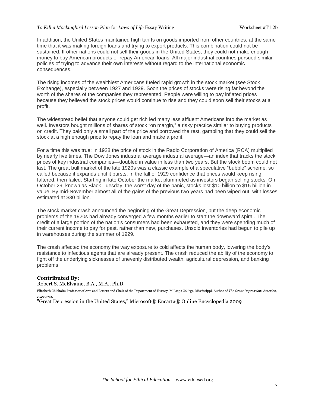#### *To Kill a Mockingbird Lesson Plan* for *Laws of Life* Essay Writing Worksheet #T1.2b

In addition, the United States maintained high tariffs on goods imported from other countries, at the same time that it was making foreign loans and trying to export products. This combination could not be sustained: If other nations could not sell their goods in the United States, they could not make enough money to buy American products or repay American loans. All major industrial countries pursued similar policies of trying to advance their own interests without regard to the international economic consequences.

The rising incomes of the wealthiest Americans fueled rapid growth in the stock market (see Stock Exchange), especially between 1927 and 1929. Soon the prices of stocks were rising far beyond the worth of the shares of the companies they represented. People were willing to pay inflated prices because they believed the stock prices would continue to rise and they could soon sell their stocks at a profit.

The widespread belief that anyone could get rich led many less affluent Americans into the market as well. Investors bought millions of shares of stock "on margin," a risky practice similar to buying products on credit. They paid only a small part of the price and borrowed the rest, gambling that they could sell the stock at a high enough price to repay the loan and make a profit.

For a time this was true: In 1928 the price of stock in the Radio Corporation of America (RCA) multiplied by nearly five times. The Dow Jones industrial average industrial average—an index that tracks the stock prices of key industrial companies—doubled in value in less than two years. But the stock boom could not last. The great bull market of the late 1920s was a classic example of a speculative "bubble" scheme, so called because it expands until it bursts. In the fall of 1929 confidence that prices would keep rising faltered, then failed. Starting in late October the market plummeted as investors began selling stocks. On October 29, known as Black Tuesday, the worst day of the panic, stocks lost \$10 billion to \$15 billion in value. By mid-November almost all of the gains of the previous two years had been wiped out, with losses estimated at \$30 billion.

The stock market crash announced the beginning of the Great Depression, but the deep economic problems of the 1920s had already converged a few months earlier to start the downward spiral. The credit of a large portion of the nation's consumers had been exhausted, and they were spending much of their current income to pay for past, rather than new, purchases. Unsold inventories had begun to pile up in warehouses during the summer of 1929.

The crash affected the economy the way exposure to cold affects the human body, lowering the body's resistance to infectious agents that are already present. The crash reduced the ability of the economy to fight off the underlying sicknesses of unevenly distributed wealth, agricultural depression, and banking problems.

#### **Contributed By:**

Robert S. McElvaine, B.A., M.A., Ph.D.

Elizabeth Chisholm Professor of Arts and Letters and Chair of the Department of History, Millsaps College, Mississippi. Author of The Great Depression: America,  $1020 - 1041.$ 

"Great Depression in the United States," Microsoft® Encarta® Online Encyclopedia 2009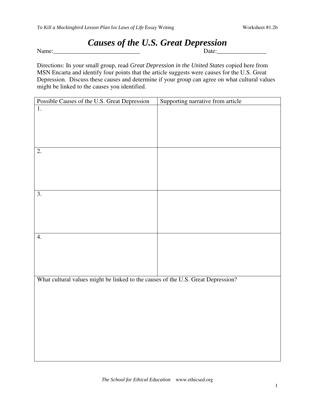# *Causes of the U.S. Great Depression*

Name:

Directions: In your small group, read *Great Depression in the United States* copied here from MSN Encarta and identify four points that the article suggests were causes for the U.S. Great Depression. Discuss these causes and determine if your group can agree on what cultural values

might be linked to the causes you identified.

| Possible Causes of the U.S. Great Depression                                     | Supporting narrative from article |
|----------------------------------------------------------------------------------|-----------------------------------|
| $\overline{1}$ .                                                                 |                                   |
|                                                                                  |                                   |
|                                                                                  |                                   |
|                                                                                  |                                   |
|                                                                                  |                                   |
|                                                                                  |                                   |
| 2.                                                                               |                                   |
|                                                                                  |                                   |
|                                                                                  |                                   |
|                                                                                  |                                   |
|                                                                                  |                                   |
|                                                                                  |                                   |
| $\overline{3}$ .                                                                 |                                   |
|                                                                                  |                                   |
|                                                                                  |                                   |
|                                                                                  |                                   |
|                                                                                  |                                   |
|                                                                                  |                                   |
| 4.                                                                               |                                   |
|                                                                                  |                                   |
|                                                                                  |                                   |
|                                                                                  |                                   |
|                                                                                  |                                   |
|                                                                                  |                                   |
| What cultural values might be linked to the causes of the U.S. Great Depression? |                                   |
|                                                                                  |                                   |
|                                                                                  |                                   |
|                                                                                  |                                   |
|                                                                                  |                                   |
|                                                                                  |                                   |
|                                                                                  |                                   |
|                                                                                  |                                   |
|                                                                                  |                                   |
|                                                                                  |                                   |
|                                                                                  |                                   |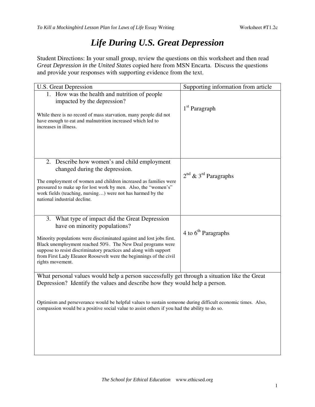# *Life During U.S. Great Depression*

Student Directions: In your small group, review the questions on this worksheet and then read *Great Depression in the United States* copied here from MSN Encarta. Discuss the questions and provide your responses with supporting evidence from the text.

| <b>U.S. Great Depression</b>                                                                                                                                                                                                                                                                                                                                                               | Supporting information from article |
|--------------------------------------------------------------------------------------------------------------------------------------------------------------------------------------------------------------------------------------------------------------------------------------------------------------------------------------------------------------------------------------------|-------------------------------------|
| 1. How was the health and nutrition of people<br>impacted by the depression?<br>While there is no record of mass starvation, many people did not<br>have enough to eat and malnutrition increased which led to<br>increases in illness.                                                                                                                                                    | $1st$ Paragraph                     |
| 2. Describe how women's and child employment<br>changed during the depression.<br>The employment of women and children increased as families were<br>pressured to make up for lost work by men. Also, the "women's"<br>work fields (teaching, nursing) were not has harmed by the<br>national industrial decline.                                                                          | $2^{nd}$ & $3^{rd}$ Paragraphs      |
| 3. What type of impact did the Great Depression<br>have on minority populations?<br>Minority populations were discriminated against and lost jobs first.<br>Black unemployment reached 50%. The New Deal programs were<br>suppose to resist discriminatory practices and along with support<br>from First Lady Eleanor Roosevelt were the beginnings of the civil<br>rights movement.      | 4 to $6th$ Paragraphs               |
| What personal values would help a person successfully get through a situation like the Great<br>Depression? Identify the values and describe how they would help a person.<br>Optimism and perseverance would be helpful values to sustain someone during difficult economic times. Also,<br>compassion would be a positive social value to assist others if you had the ability to do so. |                                     |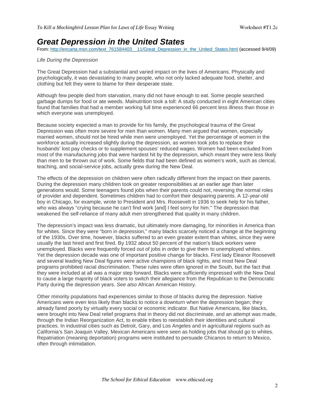### **Great Depression in the United States**

From: http://encarta.msn.com/text\_761584403\_\_11/Great\_Depression\_in\_the\_United\_States.html (accessed 9/4/09)

#### Life During the Depression

The Great Depression had a substantial and varied impact on the lives of Americans. Physically and psychologically, it was devastating to many people, who not only lacked adequate food, shelter, and clothing but felt they were to blame for their desperate state.

Although few people died from starvation, many did not have enough to eat. Some people searched garbage dumps for food or ate weeds. Malnutrition took a toll: A study conducted in eight American cities found that families that had a member working full time experienced 66 percent less illness than those in which everyone was unemployed.

Because society expected a man to provide for his family, the psychological trauma of the Great Depression was often more severe for men than women. Many men argued that women, especially married women, should not be hired while men were unemployed. Yet the percentage of women in the workforce actually increased slightly during the depression, as women took jobs to replace their husbands' lost pay checks or to supplement spouses' reduced wages. Women had been excluded from most of the manufacturing jobs that were hardest hit by the depression, which meant they were less likely than men to be thrown out of work. Some fields that had been defined as women's work, such as clerical, teaching, and social-service jobs, actually grew during the New Deal.

The effects of the depression on children were often radically different from the impact on their parents. During the depression many children took on greater responsibilities at an earlier age than later generations would. Some teenagers found jobs when their parents could not, reversing the normal roles of provider and dependent. Sometimes children had to comfort their despairing parents. A 12-year-old boy in Chicago, for example, wrote to President and Mrs. Roosevelt in 1936 to seek help for his father, who was always "crying because he can't find work [and] I feel sorry for him." The depression that weakened the self-reliance of many adult men strengthened that quality in many children.

The depression's impact was less dramatic, but ultimately more damaging, for minorities in America than for whites. Since they were "born in depression," many blacks scarcely noticed a change at the beginning of the 1930s. Over time, however, blacks suffered to an even greater extent than whites, since they were usually the last hired and first fired. By 1932 about 50 percent of the nation's black workers were unemployed. Blacks were frequently forced out of jobs in order to give them to unemployed whites. Yet the depression decade was one of important positive change for blacks. First lady Eleanor Roosevelt and several leading New Deal figures were active champions of black rights, and most New Deal programs prohibited racial discrimination. These rules were often ignored in the South, but the fact that they were included at all was a major step forward. Blacks were sufficiently impressed with the New Deal to cause a large majority of black voters to switch their allegiance from the Republican to the Democratic Party during the depression years. See also African American History.

Other minority populations had experiences similar to those of blacks during the depression. Native Americans were even less likely than blacks to notice a downturn when the depression began; they already fared poorly by virtually every social or economic indicator. But Native Americans, like blacks, were brought into New Deal relief programs that in theory did not discriminate, and an attempt was made, through the Indian Reorganization Act, to enable tribes to reestablish their identities and cultural practices. In industrial cities such as Detroit, Gary, and Los Angeles and in agricultural regions such as California's San Joaquin Valley, Mexican Americans were seen as holding jobs that should go to whites. Repatriation (meaning deportation) programs were instituted to persuade Chicanos to return to Mexico, often through intimidation.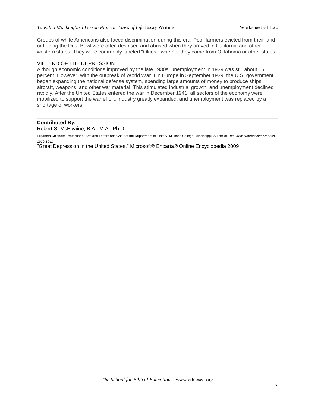Groups of white Americans also faced discrimination during this era. Poor farmers evicted from their land or fleeing the Dust Bowl were often despised and abused when they arrived in California and other western states. They were commonly labeled "Okies," whether they came from Oklahoma or other states.

#### VIII. END OF THE DEPRESSION

Although economic conditions improved by the late 1930s, unemployment in 1939 was still about 15 percent. However, with the outbreak of World War II in Europe in September 1939, the U.S. government began expanding the national defense system, spending large amounts of money to produce ships, aircraft, weapons, and other war material. This stimulated industrial growth, and unemployment declined rapidly. After the United States entered the war in December 1941, all sectors of the economy were mobilized to support the war effort. Industry greatly expanded, and unemployment was replaced by a shortage of workers.

#### **Contributed By:**

Robert S. McElvaine, B.A., M.A., Ph.D.

Elizabeth Chisholm Professor of Arts and Letters and Chair of the Department of History, Millsaps College, Mississippi. Author of The Great Depression: America, 1929-1941.

"Great Depression in the United States," Microsoft® Encarta® Online Encyclopedia 2009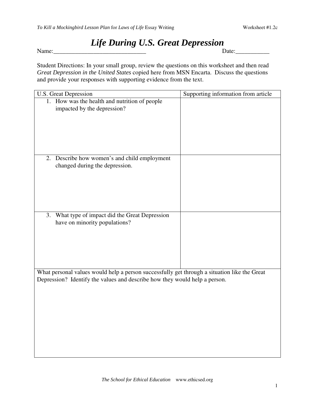## *Life During U.S. Great Depression*

Name:  $\Box$ 

Student Directions: In your small group, review the questions on this worksheet and then read *Great Depression in the United States* copied here from MSN Encarta. Discuss the questions and provide your responses with supporting evidence from the text.

| <b>U.S. Great Depression</b>                                                                                                                                               | Supporting information from article |
|----------------------------------------------------------------------------------------------------------------------------------------------------------------------------|-------------------------------------|
| 1. How was the health and nutrition of people<br>impacted by the depression?                                                                                               |                                     |
| 2. Describe how women's and child employment<br>changed during the depression.                                                                                             |                                     |
| What type of impact did the Great Depression<br>3.<br>have on minority populations?                                                                                        |                                     |
| What personal values would help a person successfully get through a situation like the Great<br>Depression? Identify the values and describe how they would help a person. |                                     |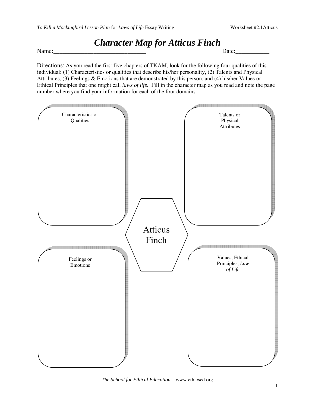## *Character Map for Atticus Finch*

Name: Date:



*The School for Ethical Education* www.ethicsed.org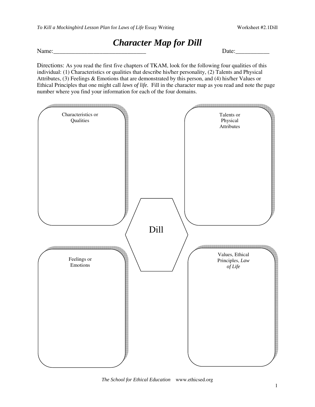## *Character Map for Dill*

Name: Letters and the set of the set of the set of the set of the set of the set of the set of the set of the set of the set of the set of the set of the set of the set of the set of the set of the set of the set of the se



*The School for Ethical Education* www.ethicsed.org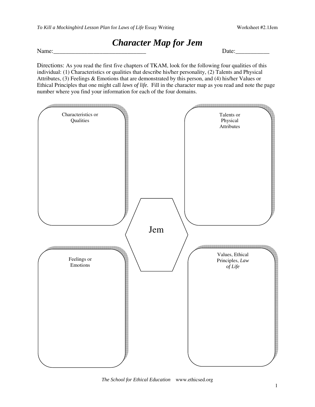## *Character Map for Jem*

Name: Letters and the set of the set of the set of the set of the set of the set of the set of the set of the set of the set of the set of the set of the set of the set of the set of the set of the set of the set of the se



*The School for Ethical Education* www.ethicsed.org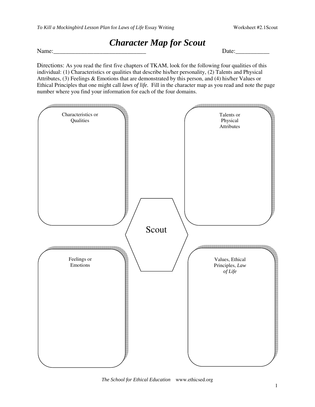## *Character Map for Scout*

Name: Letters and the set of the set of the set of the set of the set of the set of the set of the set of the set of the set of the set of the set of the set of the set of the set of the set of the set of the set of the se



*The School for Ethical Education* www.ethicsed.org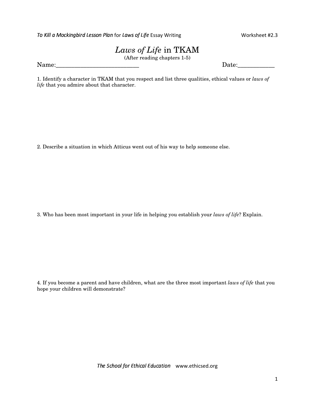To Kill a Mockingbird Lesson Plan for Laws of Life Essay Writir

Worksheet #2.3

## *Laws of Life* in TKAM

(After reading chapters 1-5)

Name:\_\_\_\_\_\_\_\_\_\_\_\_\_\_\_\_\_\_\_\_\_\_\_\_\_\_\_ Date:\_\_\_\_\_\_\_\_\_\_\_\_

1. Identify a character in TKAM that you respect and list three qualities, ethical values or *laws of life* that you admire about that character.

2. Describe a situation in which Atticus went out of his way to help someone else.

3. Who has been most important in your life in helping you establish your *laws of life*? Explain.

4. If you become a parent and have children, what are the three most important *laws of life* that you hope your children will demonstrate?

The School for Ethical Education www.ethicsed.org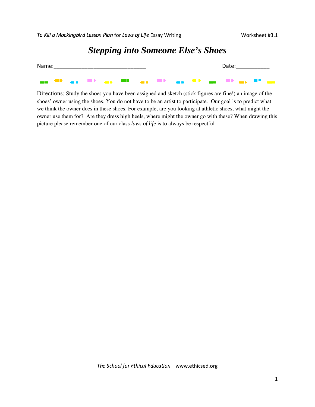*Stepping into Someone Else's Shoes*

| Name: |  |  |  |  | Date: the contract of the contract of the contract of the contract of the contract of the contract of the contract of the contract of the contract of the contract of the contract of the contract of the contract of the cont |  |
|-------|--|--|--|--|--------------------------------------------------------------------------------------------------------------------------------------------------------------------------------------------------------------------------------|--|
|       |  |  |  |  |                                                                                                                                                                                                                                |  |

Directions*:* Study the shoes you have been assigned and sketch (stick figures are fine!) an image of the shoes' owner using the shoes. You do not have to be an artist to participate. Our goal is to predict what we think the owner does in these shoes. For example, are you looking at athletic shoes, what might the owner use them for? Are they dress high heels, where might the owner go with these? When drawing this picture please remember one of our class *laws of life* is to always be respectful*.*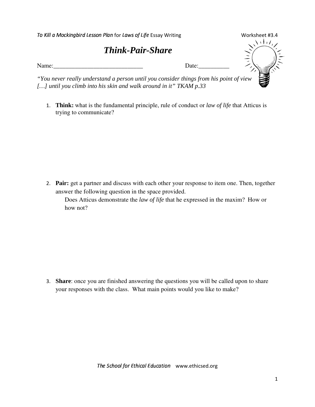| To Kill a Mockingbird Lesson Plan for Laws of Life Essay Writing                                                                                            | Worksheet #3.4     |
|-------------------------------------------------------------------------------------------------------------------------------------------------------------|--------------------|
| <b>Think-Pair-Share</b>                                                                                                                                     |                    |
| Name:                                                                                                                                                       | Date:              |
| "You never really understand a person until you consider things from his point of view<br>[] until you climb into his skin and walk around in it" TKAM p.33 | esta<br>Esperanto- |

 **Think:** what is the fundamental principle, rule of conduct or *law of life* that Atticus is trying to communicate?

 **Pair:** get a partner and discuss with each other your response to item one. Then, together answer the following question in the space provided.

Does Atticus demonstrate the *law of life* that he expressed in the maxim? How or how not?

 **Share**: once you are finished answering the questions you will be called upon to share your responses with the class. What main points would you like to make?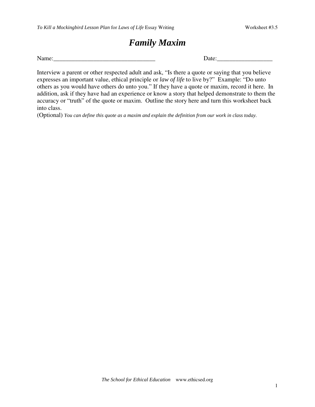## *Family Maxim*

Name: Note and the set of the set of the set of the set of the Date:

Interview a parent or other respected adult and ask, "Is there a quote or saying that you believe expresses an important value, ethical principle or *law of life* to live by?" Example: "Do unto others as you would have others do unto you." If they have a quote or maxim, record it here. In addition, ask if they have had an experience or know a story that helped demonstrate to them the accuracy or "truth" of the quote or maxim. Outline the story here and turn this worksheet back into class.

(Optional) You can define this quote as a maxim and explain the definition from our work in class today.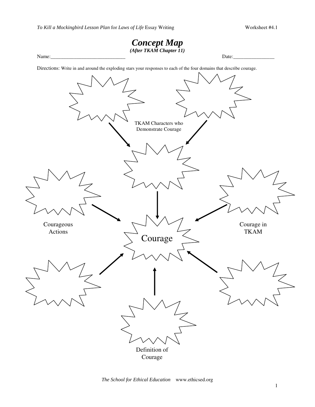

*The School for Ethical Education* www.ethicsed.org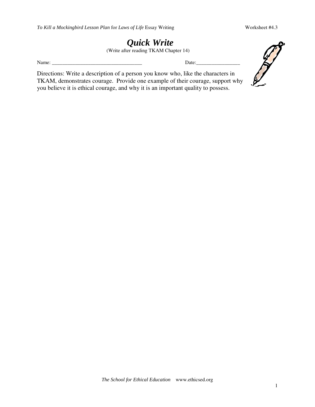### *Quick Write* (Write after reading TKAM Chapter 14)

Name: \_\_\_\_\_\_\_\_\_\_\_\_\_\_\_\_\_\_\_\_\_\_\_\_\_\_\_\_\_\_\_\_\_\_\_ Date:\_\_\_\_\_\_\_\_\_\_\_\_\_\_\_\_\_

Directions: Write a description of a person you know who, like the characters in TKAM, demonstrates courage. Provide one example of their courage, support why you believe it is ethical courage, and why it is an important quality to possess.

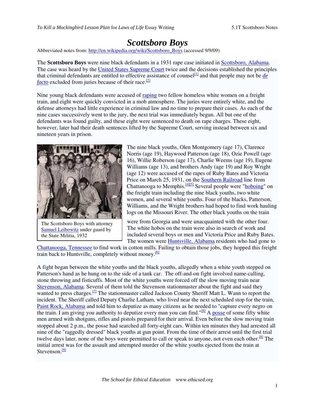## *Scottsboro Boys*

Abbreviated notes from: http://en.wikipedia.org/wiki/Scottsboro\_Boys (accessed 9/9/09)

The **Scottsboro Boys** were nine black defendants in a 1931 rape case initiated in Scottsboro, Alabama. The case was heard by the United States Supreme Court twice and the decisions established the principles that criminal defendants are entitled to effective assistance of counsel<sup>[1]</sup> and that people may not be *de facto* excluded from juries because of their race. [2]

Nine young black defendants were accused of raping two fellow homeless white women on a freight train, and eight were quickly convicted in a mob atmosphere. The juries were entirely white, and the defense attorneys had little experience in criminal law and no time to prepare their cases. As each of the nine cases successively went to the jury, the next trial was immediately begun. All but one of the defendants was found guilty, and these eight were sentenced to death on rape charges. These eight, however, later had their death sentences lifted by the Supreme Court, serving instead between six and nineteen years in prison.



The Scottsboro Boys with attorney Samuel Leibowitz under guard by the State Militia, 1932

The nine black youths, Olen Montgomery (age 17), Clarence Norris (age 19), Haywood Patterson (age 18), Ozie Powell (age 16), Willie Roberson (age 17), Charlie Weems (age 19), Eugene Williams (age 13), and brothers Andy (age 19) and Roy Wright (age 12) were accused of the rapes of Ruby Bates and Victoria Price on March 25, 1931, on the **Southern Railroad** line from Chattanooga to Memphis. <sup>[4][5]</sup> Several people were "**hoboing**" on the freight train including the nine black youths, two white women, and several white youths. Four of the blacks, Patterson, Williams, and the Wright brothers had hoped to find work hauling logs on the Missouri River. The other black youths on the train

were from Georgia and were unacquainted with the other four. The white hobos on the train were also in search of work and included several boys or men and Victoria Price and Ruby Bates. The women were Huntsville, Alabama residents who had gone to

Chattanooga, Tennessee to find work in cotton mills. Failing to obtain those jobs, they hopped this freight train back to Huntsville, completely without money.<sup>[6]</sup>

A fight began between the white youths and the black youths, allegedly when a white youth stepped on Patterson's hand as he hung on to the side of a tank car. The off-and-on fight involved name-calling, stone throwing and fisticuffs. Most of the white youths were forced off the slow moving train near Stevenson, Alabama. Several of them told the Stevenson stationmaster about the fight and said they wanted to press charges.<sup>[7]</sup> The stationmaster called Jackson County Sheriff Matt L. Wann to report the incident. The Sheriff called Deputy Charlie Latham, who lived near the next scheduled stop for the train, Paint Rock, Alabama and told him to deputize as many citizens as he needed to "capture every negro on the train. I am giving you authority to deputize every man you can find."<sup>[8]</sup> A posse of some fifty white men armed with shotguns, rifles and pistols prepared for their arrival. Even before the slow moving train stopped about 2 p.m., the posse had searched all forty-eight cars. Within ten minutes they had arrested all nine of the "raggedly dressed" black youths at gun point. From the time of their arrest until the first trial twelve days later, none of the boys were permitted to call or speak to anyone, not even each other.<sup>[8]</sup> The initial arrest was for the assault and attempted murder of the white youths ejected from the train at Stevenson.<sup>[9]</sup>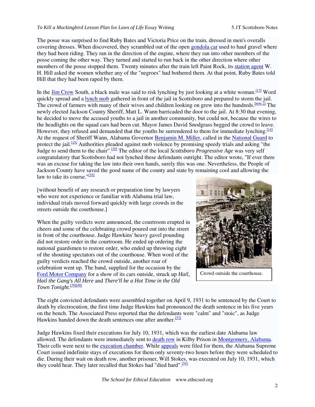The posse was surprised to find Ruby Bates and Victoria Price on the train, dressed in men's overalls covering dresses. When discovered, they scrambled out of the open gondola car used to haul gravel where they had been riding. They ran in the direction of the engine, where they ran into other members of the posse coming the other way. They turned and started to run back in the other direction where other members of the posse stopped them. Twenty minutes after the train left Paint Rock, its station agent W. H. Hill asked the women whether any of the "negroes" had bothered them. At that point, Ruby Bates told Hill that they had been raped by them.

In the *Jim Crow* South, a black male was said to risk lynching by just looking at a white woman.<sup>[13]</sup> Word quickly spread and a lynch mob gathered in front of the jail in Scottsboro and prepared to storm the jail. The crowd of farmers with many of their wives and children looking on grew into the hundreds.  $[note]$  The newly elected Jackson County Sheriff, Matt L. Wann barricaded the door to the jail. At 8:30 that evening, he decided to move the accused youths to a jail in another community, but could not, because the wires to the headlights on the squad cars had been cut. Mayor James David Snodgrass begged the crowd to leave. However, they refused and demanded that the youths be surrendered to them for immediate lynching.<sup>[14]</sup> At the request of Sheriff Wann, Alabama Governor Benjamin M. Miller, called in the National Guard to protect the jail.<sup>[15]</sup> Authorities pleaded against mob violence by promising speedy trials and asking "the Judge to send them to the chair". [16] The editor of the local *Scottsboro Progressive Age* was very self congratulatory that Scottsboro had not lynched these defendants outright. The editor wrote, "If ever there was an excuse for taking the law into their own hands, surely this was one. Nevertheless, the People of Jackson County have saved the good name of the county and state by remaining cool and allowing the law to take its course."<sup>[16]</sup>

[without benefit of any research or preparation time by lawyers who were not experience or familiar with Alabama trial law, individual trials moved forward quickly with large crowds in the streets outside the courthouse.]

When the guilty verdicts were announced, the courtroom erupted in cheers and some of the celebrating crowd poured out into the street in front of the courthouse. Judge Hawkins' heavy gavel pounding did not restore order in the courtroom. He ended up ordering the national guardsmen to restore order, who ended up throwing eight of the shouting spectators out of the courthouse. When word of the guilty verdicts reached the crowd outside, another roar of celebration went up. The band, supplied for the occasion by the Ford Motor Company for a show of its cars outside, struck up *Hail, Hail the Gang's All Here* and *There'll be a Hot Time in the Old Town Tonight*. [39][40]



Crowd outside the courthouse.

The eight convicted defendants were assembled together on April 9, 1931 to be sentenced by the Court to death by electrocution, the first time Judge Hawkins had pronounced the death sentence in his five years on the bench. The Associated Press reported that the defendants were "calm" and "stoic", as Judge Hawkins handed down the death sentences one after another.<sup>[53]</sup>

Judge Hawkins fixed their executions for July 10, 1931, which was the earliest date Alabama law allowed. The defendants were immediately sent to death row in Kilby Prison in Montgomery, Alabama. Their cells were next to the execution chamber. While appeals were filed for them, the Alabama Supreme Court issued indefinite stays of executions for them only seventy-two hours before they were scheduled to die. During their wait on death row, another prisoner, Will Stokes, was executed on July 10, 1931, which they could hear. They later recalled that Stokes had "died hard".<sup>[54]</sup>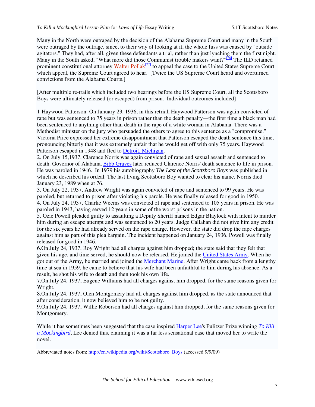Many in the North were outraged by the decision of the Alabama Supreme Court and many in the South were outraged by the outrage, since, to their way of looking at it, the whole fuss was caused by "outside agitators." They had, after all, given these defendants a trial, rather than just lynching them the first night. Many in the South asked, "What more did those Communist trouble makers want?"<sup>[76]</sup> The ILD retained prominent constitutional attorney Walter Pollak<sup>[77]</sup> to appeal the case to the United States Supreme Court which appeal, the Supreme Court agreed to hear. [Twice the US Supreme Court heard and overturned convictions from the Alabama Courts.]

[After multiple re-trails which included two hearings before the US Supreme Court, all the Scottsboro Boys were ultimately released (or escaped) from prison. Individual outcomes included]

1-Haywood Patterson: On January 23, 1936, in this retrial, Haywood Patterson was again convicted of rape but was sentenced to 75 years in prison rather than the death penalty—the first time a black man had been sentenced to anything other than death in the rape of a white woman in Alabama. There was a Methodist minister on the jury who persuaded the others to agree to this sentence as a "compromise." Victoria Price expressed her extreme disappointment that Patterson escaped the death sentence this time, pronouncing bitterly that it was extremely unfair that he would get off with only 75 years. Haywood Patterson escaped in 1948 and fled to Detroit, Michigan.

2. On July 15,1937, Clarence Norris was again convicted of rape and sexual assault and sentenced to death. Governor of Alabama Bibb Graves later reduced Clarence Norris' death sentence to life in prison. He was paroled in 1946. In 1979 his autobiography *The Last of the Scottsboro Boys* was published in which he described his ordeal. The last living Scottsboro Boy wanted to clear his name. Norris died January 23, 1989 when at 76.

3. On July 22, 1937, Andrew Wright was again convicted of rape and sentenced to 99 years. He was paroled, but returned to prison after violating his parole. He was finally released for good in 1950. 4. On July 24, 1937, Charlie Weems was convicted of rape and sentenced to 105 years in prison. He was paroled in 1943, having served 12 years in some of the worst prisons in the nation.

5. Ozie Powell pleaded guilty to assaulting a Deputy Sheriff named Edgar Blaylock with intent to murder him during an escape attempt and was sentenced to 20 years. Judge Callahan did not give him any credit for the six years he had already served on the rape charge. However, the state did drop the rape charges against him as part of this plea bargain. The incident happened on January 24, 1936. Powell was finally released for good in 1946.

6.On July 24, 1937, Roy Wright had all charges against him dropped; the state said that they felt that given his age, and time served, he should now be released. He joined the United States Army. When he got out of the Army, he married and joined the Merchant Marine. After Wright came back from a lengthy time at sea in 1959, he came to believe that his wife had been unfaithful to him during his absence. As a result, he shot his wife to death and then took his own life.

7.On July 24, 1937, Eugene Williams had all charges against him dropped, for the same reasons given for Wright.

8.On July 24, 1937, Olen Montgomery had all charges against him dropped, as the state announced that after consideration, it now believed him to be not guilty.

9.On July 24, 1937, Willie Roberson had all charges against him dropped, for the same reasons given for Montgomery.

While it has sometimes been suggested that the case inspired Harper Lee's Pulitzer Prize winning *To Kill a Mockingbird*, Lee denied this, claiming it was a far less sensational case that moved her to write the novel.

Abbreviated notes from: http://en.wikipedia.org/wiki/Scottsboro\_Boys (accessed 9/9/09)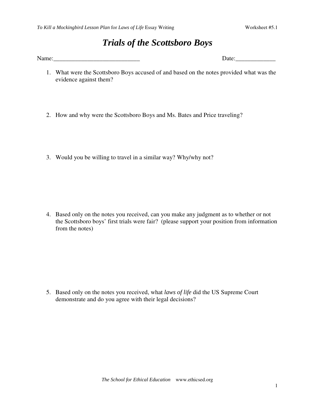## *Trials of the Scottsboro Boys*

Name:\_\_\_\_\_\_\_\_\_\_\_\_\_\_\_\_\_\_\_\_\_\_\_\_\_\_\_\_ Date:\_\_\_\_\_\_\_\_\_\_\_\_\_

- 1. What were the Scottsboro Boys accused of and based on the notes provided what was the evidence against them?
- 2. How and why were the Scottsboro Boys and Ms. Bates and Price traveling?
- 3. Would you be willing to travel in a similar way? Why/why not?

4. Based only on the notes you received, can you make any judgment as to whether or not the Scottsboro boys' first trials were fair? (please support your position from information from the notes)

5. Based only on the notes you received, what *laws of life* did the US Supreme Court demonstrate and do you agree with their legal decisions?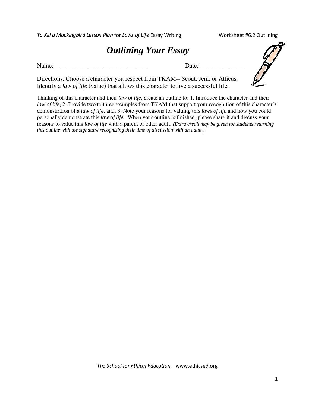| To Kill a Mockingbird Lesson Plan for Laws of Life Essay Writing                                                                                                       | Worksheet #6.2 Outlining |
|------------------------------------------------------------------------------------------------------------------------------------------------------------------------|--------------------------|
| <b>Outlining Your Essay</b>                                                                                                                                            |                          |
| Name:<br>Date:                                                                                                                                                         |                          |
| Directions: Choose a character you respect from TKAM-- Scout, Jem, or Atticus.<br>Identify a law of life (value) that allows this character to live a successful life. |                          |

Thinking of this character and their *law of life, c*reate an outline to: 1. Introduce the character and their *law of life,* 2. Provide two to three examples from TKAM that support your recognition of this character's demonstration of a *law of life,* and, 3. Note your reasons for valuing this *laws of life* and how you could personally demonstrate this *law of life.* When your outline is finished, please share it and discuss your reasons to value this *law of life* with a parent or other adult. *(Extra credit may be given for students returning this outline with the signature recognizing their time of discussion with an adult.)*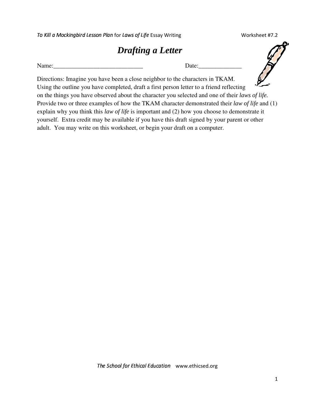Worksheet #7.2

| <b>Drafting a Letter</b> |  |  |
|--------------------------|--|--|
|--------------------------|--|--|

| Name: | Jate |
|-------|------|
|       |      |

Directions: Imagine you have been a close neighbor to the characters in TKAM. Using the outline you have completed, draft a first person letter to a friend reflecting on the things you have observed about the character you selected and one of their *laws of life.* Provide two or three examples of how the TKAM character demonstrated their *law of life* and (1) explain why you think this *law of life* is important and (2) how you choose to demonstrate it yourself. Extra credit may be available if you have this draft signed by your parent or other adult. You may write on this worksheet, or begin your draft on a computer.